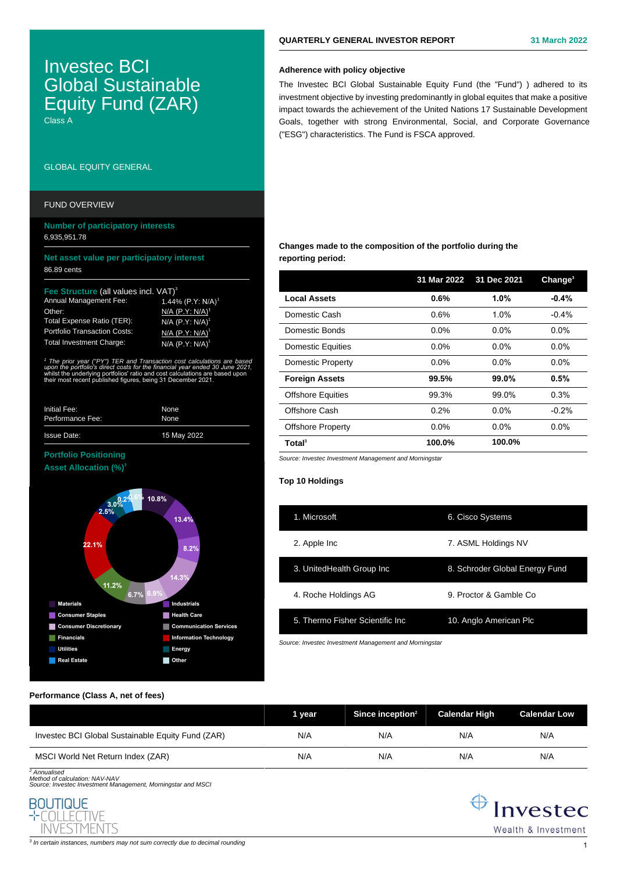# Investec BCI Global Sustainable Equity Fund (ZAR)

Class A

# GLOBAL EQUITY GENERAL

## FUND OVERVIEW

# **Number of participatory interests** 6,935,951.78

## **Net asset value per participatory interest** 86.89 cents

## **Fee Call values incl. VAT)**<sup>3</sup>

| <b>Annual Management Fee:</b>       |  |
|-------------------------------------|--|
| Other:                              |  |
| Total Expense Ratio (TER):          |  |
| <b>Portfolio Transaction Costs:</b> |  |
| <b>Total Investment Charge:</b>     |  |

1  $'$  TER and Transaction  $\tau$ *upon the portfolio's direct costs for the financial year ended 30 June 2021,*  whilst the underlying portfolios' ratio and cost calculations are based upon their most recent published figures, being 31 December 2021.

 $A496$  (P.Y: N/A)<sup>1</sup>  $I/A$  (P.Y: N/A)<sup>1</sup>  $(P.Y: N/A)$ **J/A (P.Y: N/A)**  $I/\Delta$   $I$ P  $V$  $\cdot$  N/ $\Delta$ <sup>1</sup>

| Initial Fee:       | None        |
|--------------------|-------------|
| Performance Fee:   | None        |
| <b>Issue Date:</b> | 15 May 2022 |

# **Portfolio Positioning Asset Allocation (%)<sup>3</sup>**



# **QUARTERLY GENERAL INVESTOR REPORT 31 March 2022**

## **Adherence with policy objective**

The Investec BCI Global Sustainable Equity Fund (the "Fund") ) adhered to its investment objective by investing predominantly in global equites that make a positive impact towards the achievement of the United Nations 17 Sustainable Development Goals, together with strong Environmental, Social, and Corporate Governance ("ESG") characteristics. The Fund is FSCA approved.

# **Changes made to the composition of the portfolio during the reporting period:**

|                          | 31 Mar 2022 | 31 Dec 2021 | Change <sup>3</sup> |
|--------------------------|-------------|-------------|---------------------|
| <b>Local Assets</b>      | 0.6%        | 1.0%        | $-0.4%$             |
| Domestic Cash            | 0.6%        | 1.0%        | $-0.4%$             |
| Domestic Bonds           | $0.0\%$     | $0.0\%$     | $0.0\%$             |
| <b>Domestic Equities</b> | $0.0\%$     | $0.0\%$     | $0.0\%$             |
| Domestic Property        | $0.0\%$     | $0.0\%$     | $0.0\%$             |
| <b>Foreign Assets</b>    | 99.5%       | 99.0%       | 0.5%                |
| <b>Offshore Equities</b> | 99.3%       | 99.0%       | 0.3%                |
| Offshore Cash            | 0.2%        | $0.0\%$     | $-0.2%$             |
| <b>Offshore Property</b> | $0.0\%$     | $0.0\%$     | $0.0\%$             |
| Total <sup>3</sup>       | 100.0%      | 100.0%      |                     |

Source: Investec Investment Management and Morningstar

## **Top 10 Holdings**

| 1. Microsoft                     | 6. Cisco Systems               |
|----------------------------------|--------------------------------|
| 2. Apple Inc                     | 7. ASML Holdings NV            |
| 3. UnitedHealth Group Inc.       | 8. Schroder Global Energy Fund |
| 4. Roche Holdings AG             | 9. Proctor & Gamble Co.        |
| 5. Thermo Fisher Scientific Inc. | 10. Anglo American Plc         |
|                                  |                                |

Source: Investec Investment Management and Morningstar

## **Performance (Class A, net of fees)**

|                                                   | 1 vear | Since inception <sup>2</sup> | <b>Calendar High</b> | <b>Calendar Low</b> |
|---------------------------------------------------|--------|------------------------------|----------------------|---------------------|
| Investec BCI Global Sustainable Equity Fund (ZAR) | N/A    | N/A                          | N/A                  | N/A                 |
| MSCI World Net Return Index (ZAR)                 | N/A    | N/A                          | N/A                  | N/A                 |

<sup>2</sup> Annualised

<sup>2</sup> Annualised<br>Method of calculation: NAV-NAV<br>Source: Investec Investment Management, Morningstar and MSCi





 $^3$  In certain instances, numbers may not sum correctly due to decimal rounding  $\,1\,$